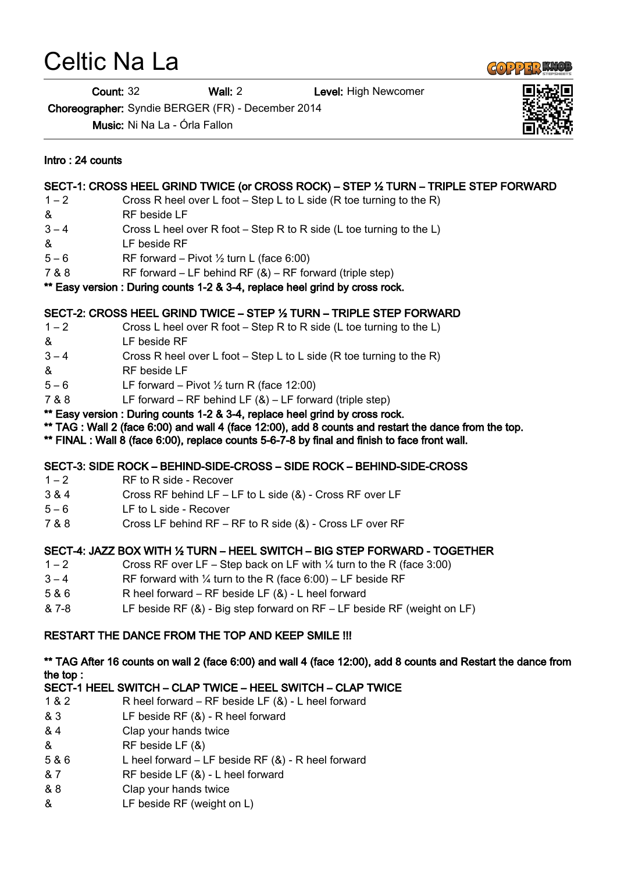# Celtic Na La

Count: 32 Wall: 2 Level: High Newcomer

Choreographer: Syndie BERGER (FR) - December 2014

Music: Ni Na La - Órla Fallon

# Intro : 24 counts

# SECT-1: CROSS HEEL GRIND TWICE (or CROSS ROCK) – STEP ½ TURN – TRIPLE STEP FORWARD

- 1 2 Cross R heel over L foot Step L to L side (R toe turning to the R)
- & RF beside LF
- 3 4 Cross L heel over R foot Step R to R side (L toe turning to the L)
- & LF beside RF
- $5 6$  RF forward Pivot  $\frac{1}{2}$  turn L (face 6:00)
- 7 & 8 RF forward LF behind RF (&) RF forward (triple step)

#### \*\* Easy version : During counts 1-2 & 3-4, replace heel grind by cross rock.

### SECT-2: CROSS HEEL GRIND TWICE – STEP ½ TURN – TRIPLE STEP FORWARD

- 1 2 Cross L heel over R foot Step R to R side (L toe turning to the L)
- & LF beside RF
- 3 4 Cross R heel over L foot Step L to L side (R toe turning to the R)
- & RF beside LF
- $5 6$  LF forward Pivot  $\frac{1}{2}$  turn R (face 12:00)
- 7 & 8 LF forward RF behind LF (&) LF forward (triple step)
- \*\* Easy version : During counts 1-2 & 3-4, replace heel grind by cross rock.
- \*\* TAG : Wall 2 (face 6:00) and wall 4 (face 12:00), add 8 counts and restart the dance from the top.
- \*\* FINAL : Wall 8 (face 6:00), replace counts 5-6-7-8 by final and finish to face front wall.

## SECT-3: SIDE ROCK – BEHIND-SIDE-CROSS – SIDE ROCK – BEHIND-SIDE-CROSS

- 1 2 RF to R side Recover
- 3 & 4 Cross RF behind LF LF to L side (&) Cross RF over LF
- 5 6 LF to L side Recover
- 7 & 8 Cross LF behind RF RF to R side (&) Cross LF over RF

## SECT-4: JAZZ BOX WITH ½ TURN – HEEL SWITCH – BIG STEP FORWARD - TOGETHER

- $1 2$  Cross RF over LF Step back on LF with  $\frac{1}{4}$  turn to the R (face 3:00)
- $3 4$  RF forward with  $\frac{1}{4}$  turn to the R (face 6:00) LF beside RF
- 5 & 6 R heel forward RF beside LF (&) L heel forward
- & 7-8 LF beside RF (&) Big step forward on RF LF beside RF (weight on LF)

## RESTART THE DANCE FROM THE TOP AND KEEP SMILE !!!

### \*\* TAG After 16 counts on wall 2 (face 6:00) and wall 4 (face 12:00), add 8 counts and Restart the dance from the top :

# SECT-1 HEEL SWITCH – CLAP TWICE – HEEL SWITCH – CLAP TWICE

- 1 & 2 R heel forward RF beside LF (&) L heel forward
- & 3 LF beside RF (&) R heel forward
- & 4 Clap your hands twice
- & RF beside LF (&)
- 5 & 6 L heel forward LF beside RF (&) R heel forward
- & 7 RF beside LF (&) L heel forward
- & 8 Clap your hands twice
- & LF beside RF (weight on L)